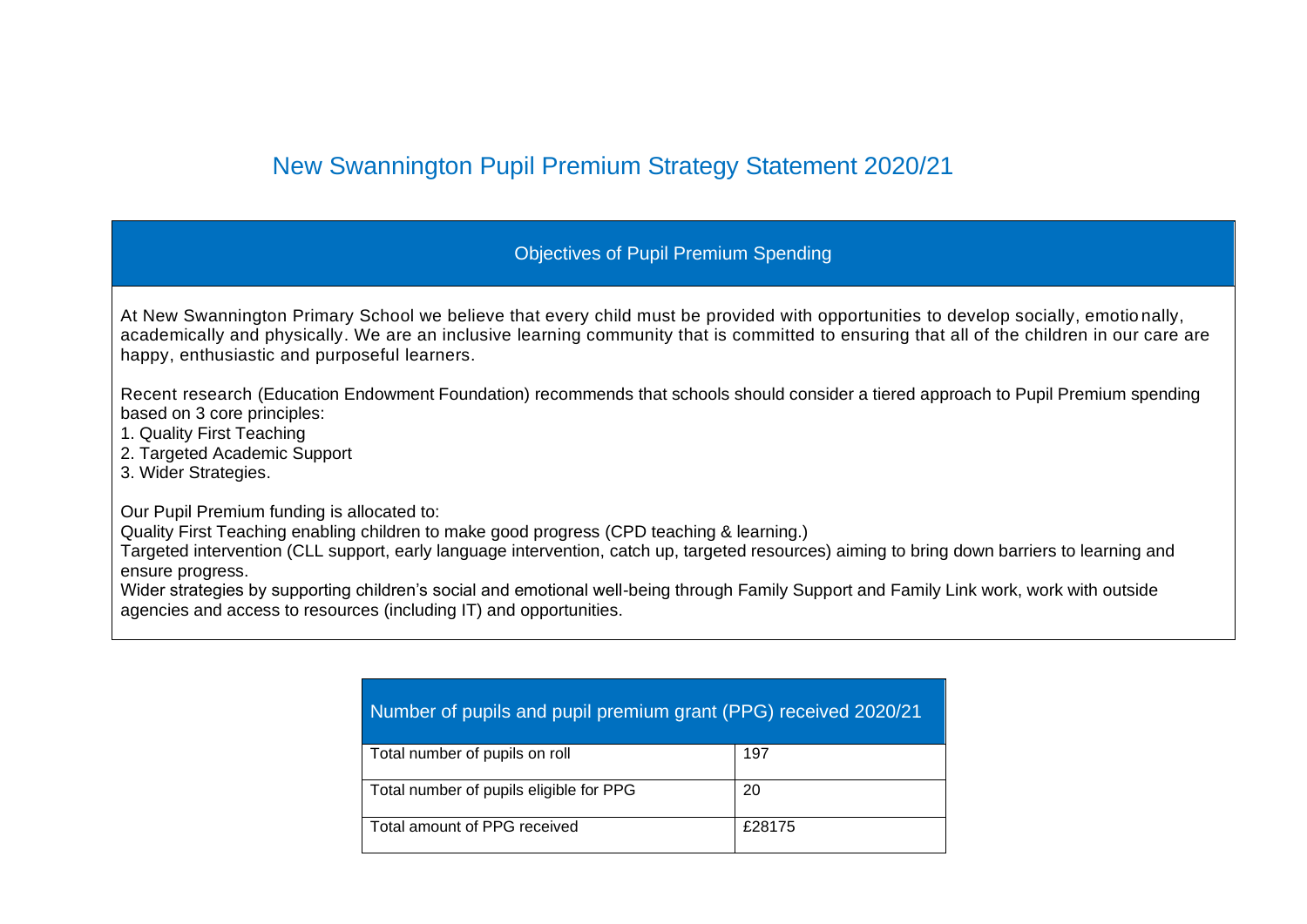## New Swannington Pupil Premium Strategy Statement 2020/21

## Objectives of Pupil Premium Spending

At New Swannington Primary School we believe that every child must be provided with opportunities to develop socially, emotio nally, academically and physically. We are an inclusive learning community that is committed to ensuring that all of the children in our care are happy, enthusiastic and purposeful learners.

Recent research (Education Endowment Foundation) recommends that schools should consider a tiered approach to Pupil Premium spending based on 3 core principles:

- 1. Quality First Teaching
- 2. Targeted Academic Support
- 3. Wider Strategies.

Our Pupil Premium funding is allocated to:

Quality First Teaching enabling children to make good progress (CPD teaching & learning.)

Targeted intervention (CLL support, early language intervention, catch up, targeted resources) aiming to bring down barriers to learning and ensure progress.

Wider strategies by supporting children's social and emotional well-being through Family Support and Family Link work, work with outside agencies and access to resources (including IT) and opportunities.

| Number of pupils and pupil premium grant (PPG) received 2020/21 |        |  |  |  |  |
|-----------------------------------------------------------------|--------|--|--|--|--|
| Total number of pupils on roll                                  | 197    |  |  |  |  |
| Total number of pupils eligible for PPG                         | 20     |  |  |  |  |
| Total amount of PPG received                                    | £28175 |  |  |  |  |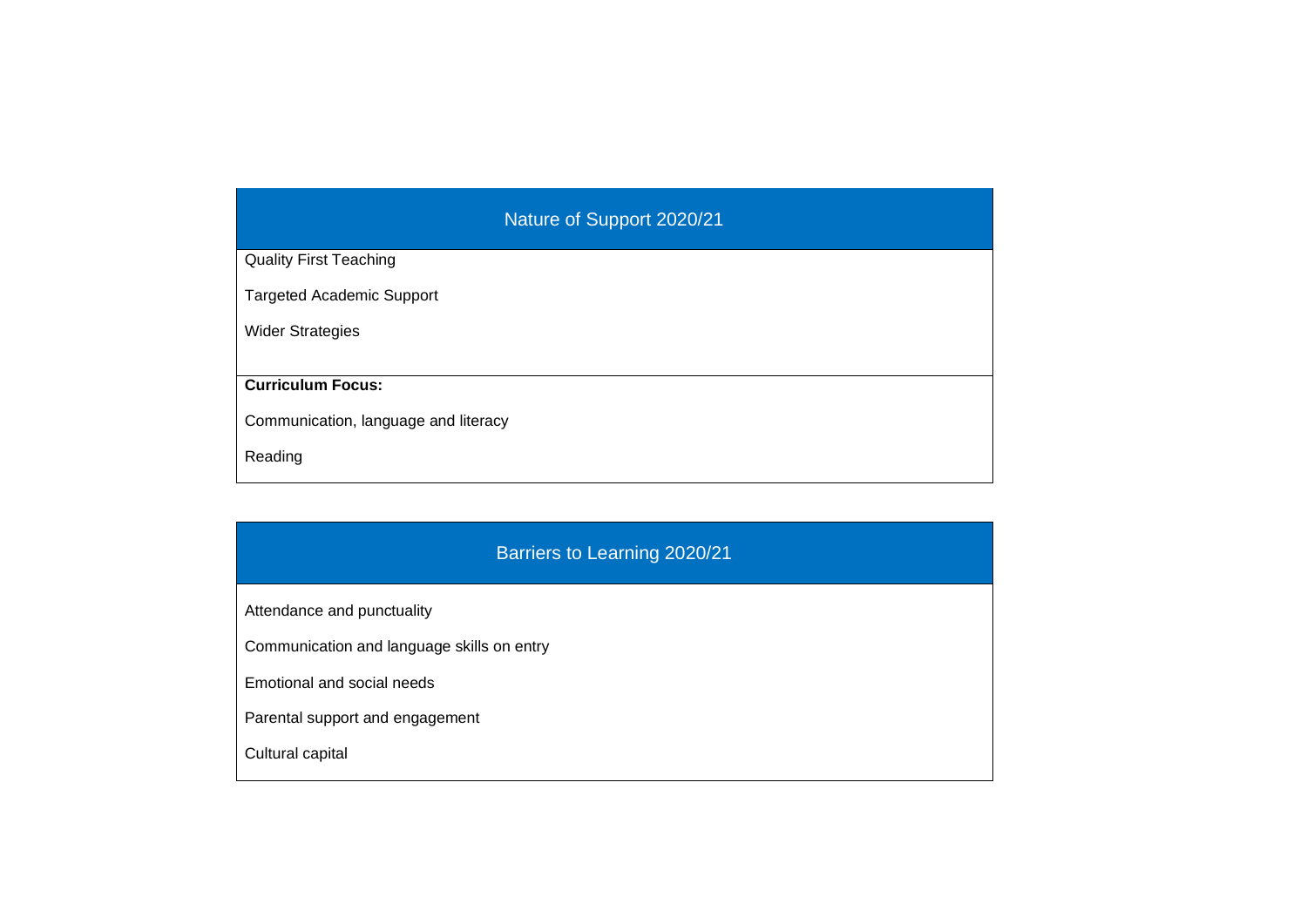## Nature of Support 2020/21 Quality First Teaching Targeted Academic Support Wider Strategies **Curriculum Focus:** Communication, language and literacy Reading

## Barriers to Learning 2020/21 Attendance and punctuality Communication and language skills on entry Emotional and social needs Parental support and engagement Cultural capital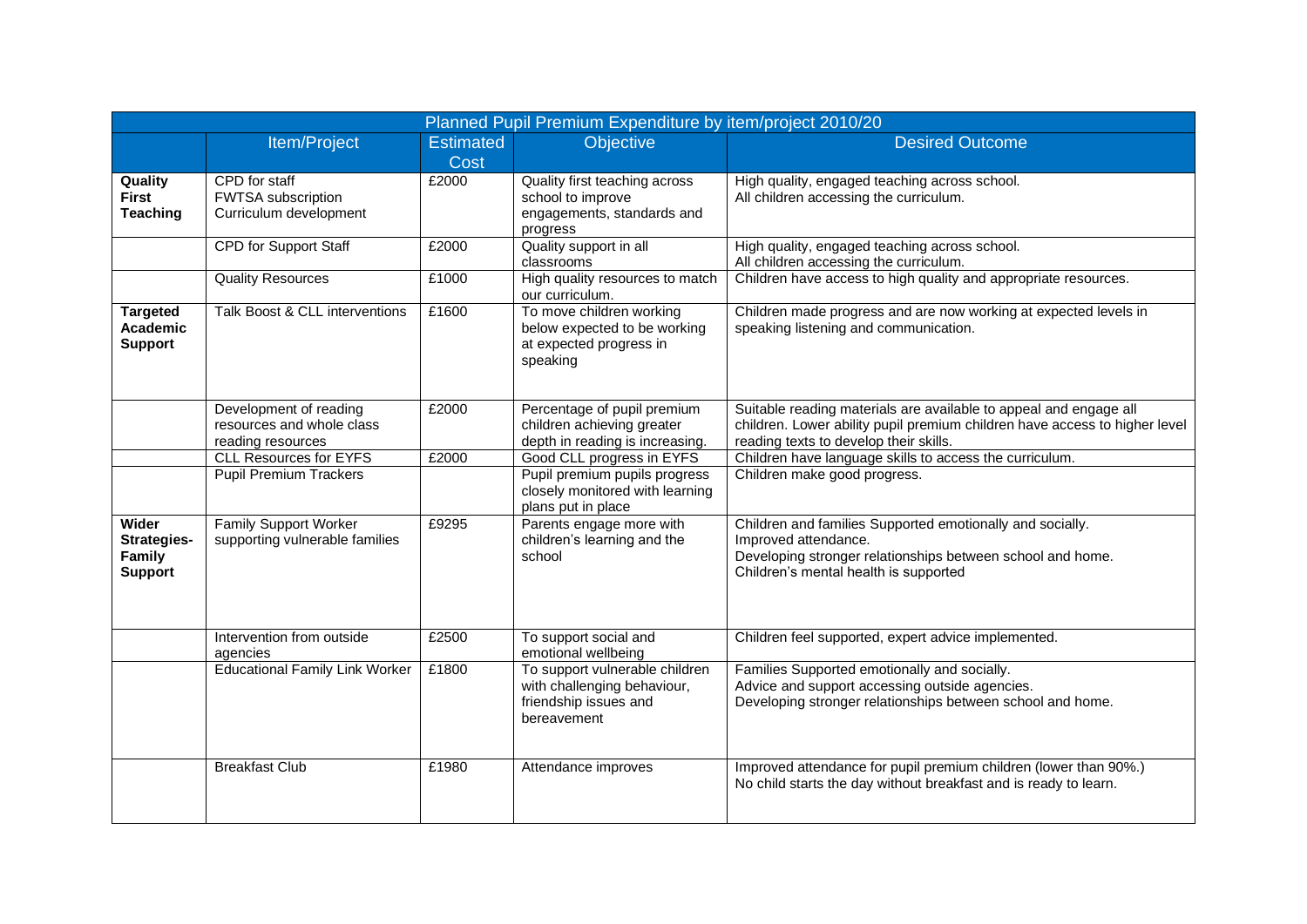| Planned Pupil Premium Expenditure by item/project 2010/20 |                                                                          |                          |                                                                                                       |                                                                                                                                                                                           |  |  |
|-----------------------------------------------------------|--------------------------------------------------------------------------|--------------------------|-------------------------------------------------------------------------------------------------------|-------------------------------------------------------------------------------------------------------------------------------------------------------------------------------------------|--|--|
|                                                           | Item/Project                                                             | <b>Estimated</b><br>Cost | Objective                                                                                             | <b>Desired Outcome</b>                                                                                                                                                                    |  |  |
| Quality<br><b>First</b><br><b>Teaching</b>                | CPD for staff<br>FWTSA subscription<br>Curriculum development            | £2000                    | Quality first teaching across<br>school to improve<br>engagements, standards and<br>progress          | High quality, engaged teaching across school.<br>All children accessing the curriculum.                                                                                                   |  |  |
|                                                           | CPD for Support Staff                                                    | £2000                    | Quality support in all<br>classrooms                                                                  | High quality, engaged teaching across school.<br>All children accessing the curriculum.                                                                                                   |  |  |
|                                                           | <b>Quality Resources</b>                                                 | £1000                    | High quality resources to match<br>our curriculum.                                                    | Children have access to high quality and appropriate resources.                                                                                                                           |  |  |
| <b>Targeted</b><br>Academic<br><b>Support</b>             | Talk Boost & CLL interventions                                           | £1600                    | To move children working<br>below expected to be working<br>at expected progress in<br>speaking       | Children made progress and are now working at expected levels in<br>speaking listening and communication.                                                                                 |  |  |
|                                                           | Development of reading<br>resources and whole class<br>reading resources | £2000                    | Percentage of pupil premium<br>children achieving greater<br>depth in reading is increasing.          | Suitable reading materials are available to appeal and engage all<br>children. Lower ability pupil premium children have access to higher level<br>reading texts to develop their skills. |  |  |
|                                                           | <b>CLL Resources for EYFS</b>                                            | £2000                    | Good CLL progress in EYFS                                                                             | Children have language skills to access the curriculum.                                                                                                                                   |  |  |
|                                                           | <b>Pupil Premium Trackers</b>                                            |                          | Pupil premium pupils progress<br>closely monitored with learning<br>plans put in place                | Children make good progress.                                                                                                                                                              |  |  |
| Wider<br>Strategies-<br>Family<br><b>Support</b>          | <b>Family Support Worker</b><br>supporting vulnerable families           | £9295                    | Parents engage more with<br>children's learning and the<br>school                                     | Children and families Supported emotionally and socially.<br>Improved attendance.<br>Developing stronger relationships between school and home.<br>Children's mental health is supported  |  |  |
|                                                           | Intervention from outside<br>agencies                                    | £2500                    | To support social and<br>emotional wellbeing                                                          | Children feel supported, expert advice implemented.                                                                                                                                       |  |  |
|                                                           | <b>Educational Family Link Worker</b>                                    | £1800                    | To support vulnerable children<br>with challenging behaviour,<br>friendship issues and<br>bereavement | Families Supported emotionally and socially.<br>Advice and support accessing outside agencies.<br>Developing stronger relationships between school and home.                              |  |  |
|                                                           | <b>Breakfast Club</b>                                                    | £1980                    | Attendance improves                                                                                   | Improved attendance for pupil premium children (lower than 90%.)<br>No child starts the day without breakfast and is ready to learn.                                                      |  |  |